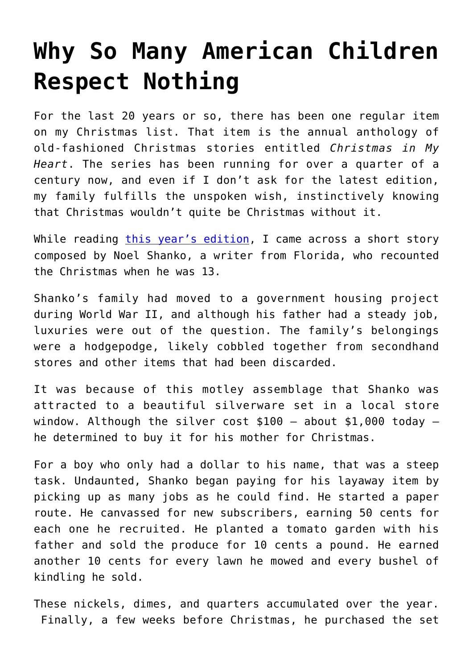## **[Why So Many American Children](https://intellectualtakeout.org/2017/12/why-so-many-american-children-respect-nothing/) [Respect Nothing](https://intellectualtakeout.org/2017/12/why-so-many-american-children-respect-nothing/)**

For the last 20 years or so, there has been one regular item on my Christmas list. That item is the annual anthology of old-fashioned Christmas stories entitled *Christmas in My Heart*. The series has been running for over a quarter of a century now, and even if I don't ask for the latest edition, my family fulfills the unspoken wish, instinctively knowing that Christmas wouldn't quite be Christmas without it.

While reading [this year's edition,](https://www.amazon.com/gp/product/081636267X/ref=as_li_qf_sp_asin_il_tl?ie=UTF8&tag=intelltakeo0d-20&camp=1789&creative=9325&linkCode=as2&creativeASIN=081636267X&linkId=e585deba230e674074ecb21ba9f80c6c) I came across a short story composed by Noel Shanko, a writer from Florida, who recounted the Christmas when he was 13.

Shanko's family had moved to a government housing project during World War II, and although his father had a steady job, luxuries were out of the question. The family's belongings were a hodgepodge, likely cobbled together from secondhand stores and other items that had been discarded.

It was because of this motley assemblage that Shanko was attracted to a beautiful silverware set in a local store window. Although the silver cost \$100 – about \$1,000 today – he determined to buy it for his mother for Christmas.

For a boy who only had a dollar to his name, that was a steep task. Undaunted, Shanko began paying for his layaway item by picking up as many jobs as he could find. He started a paper route. He canvassed for new subscribers, earning 50 cents for each one he recruited. He planted a tomato garden with his father and sold the produce for 10 cents a pound. He earned another 10 cents for every lawn he mowed and every bushel of kindling he sold.

These nickels, dimes, and quarters accumulated over the year. Finally, a few weeks before Christmas, he purchased the set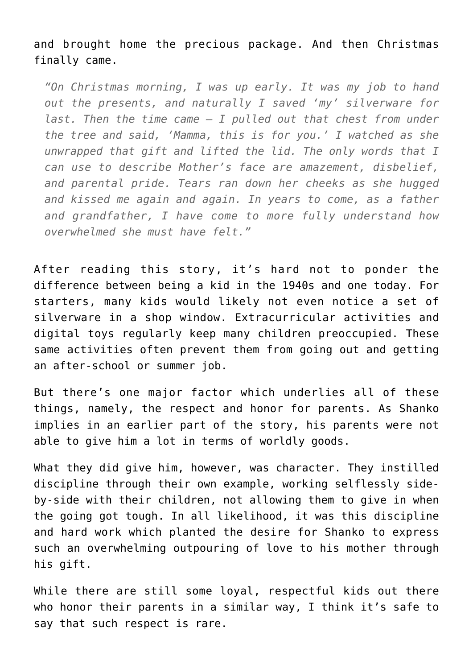and brought home the precious package. And then Christmas finally came.

*"On Christmas morning, I was up early. It was my job to hand out the presents, and naturally I saved 'my' silverware for last. Then the time came – I pulled out that chest from under the tree and said, 'Mamma, this is for you.' I watched as she unwrapped that gift and lifted the lid. The only words that I can use to describe Mother's face are amazement, disbelief, and parental pride. Tears ran down her cheeks as she hugged and kissed me again and again. In years to come, as a father and grandfather, I have come to more fully understand how overwhelmed she must have felt."*

After reading this story, it's hard not to ponder the difference between being a kid in the 1940s and one today. For starters, many kids would likely not even notice a set of silverware in a shop window. Extracurricular activities and digital toys regularly keep many children preoccupied. These same activities often prevent them from going out and getting an after-school or summer job.

But there's one major factor which underlies all of these things, namely, the respect and honor for parents. As Shanko implies in an earlier part of the story, his parents were not able to give him a lot in terms of worldly goods.

What they did give him, however, was character. They instilled discipline through their own example, working selflessly sideby-side with their children, not allowing them to give in when the going got tough. In all likelihood, it was this discipline and hard work which planted the desire for Shanko to express such an overwhelming outpouring of love to his mother through his gift.

While there are still some loyal, respectful kids out there who honor their parents in a similar way, I think it's safe to say that such respect is rare.